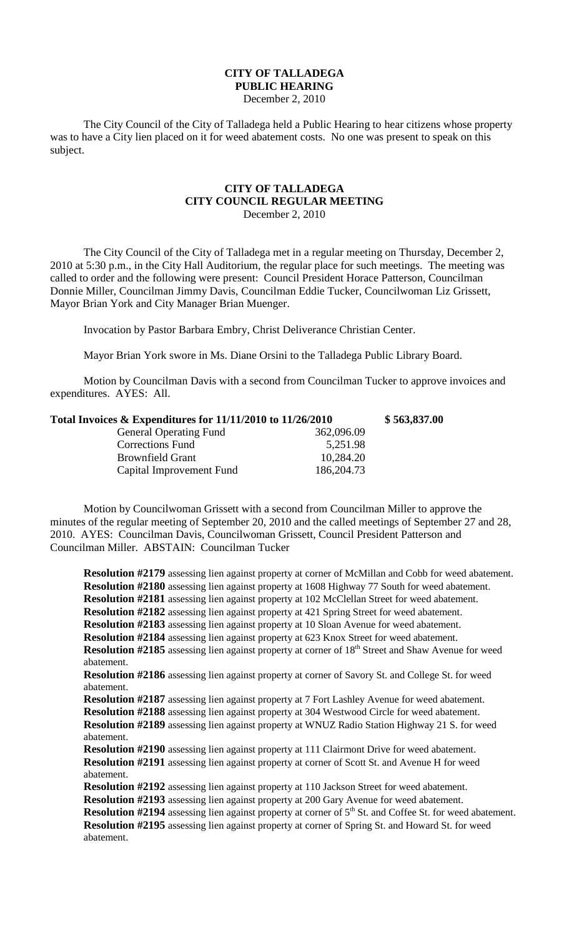## **CITY OF TALLADEGA PUBLIC HEARING**

December 2, 2010

The City Council of the City of Talladega held a Public Hearing to hear citizens whose property was to have a City lien placed on it for weed abatement costs. No one was present to speak on this subject.

## **CITY OF TALLADEGA CITY COUNCIL REGULAR MEETING** December 2, 2010

The City Council of the City of Talladega met in a regular meeting on Thursday, December 2, 2010 at 5:30 p.m., in the City Hall Auditorium, the regular place for such meetings. The meeting was called to order and the following were present: Council President Horace Patterson, Councilman Donnie Miller, Councilman Jimmy Davis, Councilman Eddie Tucker, Councilwoman Liz Grissett, Mayor Brian York and City Manager Brian Muenger.

Invocation by Pastor Barbara Embry, Christ Deliverance Christian Center.

Mayor Brian York swore in Ms. Diane Orsini to the Talladega Public Library Board.

Motion by Councilman Davis with a second from Councilman Tucker to approve invoices and expenditures. AYES: All.

| Total Invoices & Expenditures for 11/11/2010 to 11/26/2010 |              | \$563,837.00 |
|------------------------------------------------------------|--------------|--------------|
| <b>General Operating Fund</b>                              | 362,096.09   |              |
| <b>Corrections Fund</b>                                    | 5,251.98     |              |
| <b>Brownfield Grant</b>                                    | 10,284.20    |              |
| Capital Improvement Fund                                   | 186, 204. 73 |              |

Motion by Councilwoman Grissett with a second from Councilman Miller to approve the minutes of the regular meeting of September 20, 2010 and the called meetings of September 27 and 28, 2010. AYES: Councilman Davis, Councilwoman Grissett, Council President Patterson and Councilman Miller. ABSTAIN: Councilman Tucker

**Resolution #2179** assessing lien against property at corner of McMillan and Cobb for weed abatement. **Resolution #2180** assessing lien against property at 1608 Highway 77 South for weed abatement. **Resolution #2181** assessing lien against property at 102 McClellan Street for weed abatement. **Resolution #2182** assessing lien against property at 421 Spring Street for weed abatement. **Resolution #2183** assessing lien against property at 10 Sloan Avenue for weed abatement. **Resolution #2184** assessing lien against property at 623 Knox Street for weed abatement. **Resolution #2185** assessing lien against property at corner of 18<sup>th</sup> Street and Shaw Avenue for weed abatement. **Resolution #2186** assessing lien against property at corner of Savory St. and College St. for weed abatement. **Resolution #2187** assessing lien against property at 7 Fort Lashley Avenue for weed abatement. **Resolution #2188** assessing lien against property at 304 Westwood Circle for weed abatement. **Resolution #2189** assessing lien against property at WNUZ Radio Station Highway 21 S. for weed abatement. **Resolution #2190** assessing lien against property at 111 Clairmont Drive for weed abatement. **Resolution #2191** assessing lien against property at corner of Scott St. and Avenue H for weed abatement. **Resolution #2192** assessing lien against property at 110 Jackson Street for weed abatement. **Resolution #2193** assessing lien against property at 200 Gary Avenue for weed abatement. **Resolution #2194** assessing lien against property at corner of 5<sup>th</sup> St. and Coffee St. for weed abatement. **Resolution #2195** assessing lien against property at corner of Spring St. and Howard St. for weed abatement.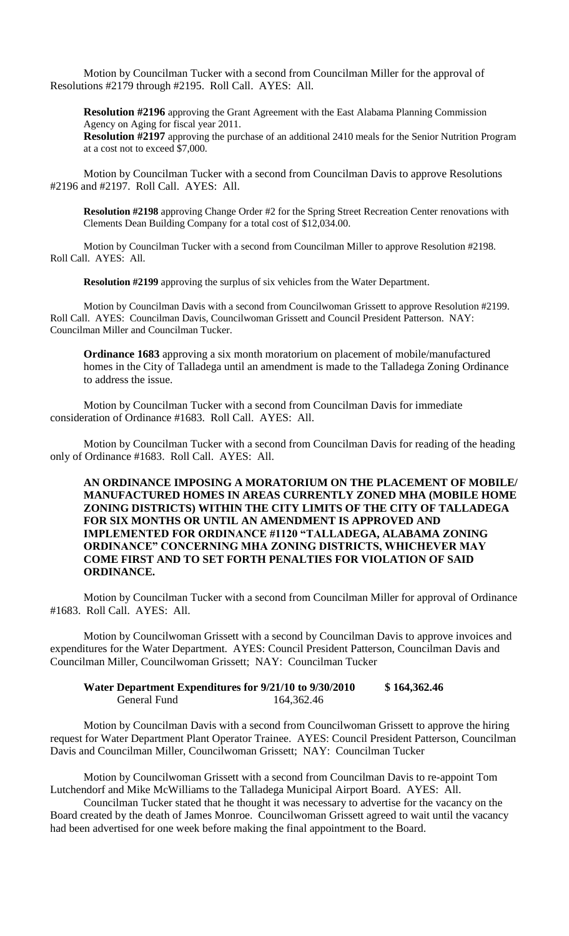Motion by Councilman Tucker with a second from Councilman Miller for the approval of Resolutions #2179 through #2195. Roll Call. AYES: All.

**Resolution #2196** approving the Grant Agreement with the East Alabama Planning Commission Agency on Aging for fiscal year 2011.

**Resolution #2197** approving the purchase of an additional 2410 meals for the Senior Nutrition Program at a cost not to exceed \$7,000.

Motion by Councilman Tucker with a second from Councilman Davis to approve Resolutions #2196 and #2197. Roll Call. AYES: All.

**Resolution #2198** approving Change Order #2 for the Spring Street Recreation Center renovations with Clements Dean Building Company for a total cost of \$12,034.00.

Motion by Councilman Tucker with a second from Councilman Miller to approve Resolution #2198. Roll Call. AYES: All.

**Resolution #2199** approving the surplus of six vehicles from the Water Department.

Motion by Councilman Davis with a second from Councilwoman Grissett to approve Resolution #2199. Roll Call. AYES: Councilman Davis, Councilwoman Grissett and Council President Patterson. NAY: Councilman Miller and Councilman Tucker.

**Ordinance 1683** approving a six month moratorium on placement of mobile/manufactured homes in the City of Talladega until an amendment is made to the Talladega Zoning Ordinance to address the issue.

Motion by Councilman Tucker with a second from Councilman Davis for immediate consideration of Ordinance #1683. Roll Call. AYES: All.

Motion by Councilman Tucker with a second from Councilman Davis for reading of the heading only of Ordinance #1683. Roll Call. AYES: All.

**AN ORDINANCE IMPOSING A MORATORIUM ON THE PLACEMENT OF MOBILE/ MANUFACTURED HOMES IN AREAS CURRENTLY ZONED MHA (MOBILE HOME ZONING DISTRICTS) WITHIN THE CITY LIMITS OF THE CITY OF TALLADEGA FOR SIX MONTHS OR UNTIL AN AMENDMENT IS APPROVED AND IMPLEMENTED FOR ORDINANCE #1120 "TALLADEGA, ALABAMA ZONING ORDINANCE" CONCERNING MHA ZONING DISTRICTS, WHICHEVER MAY COME FIRST AND TO SET FORTH PENALTIES FOR VIOLATION OF SAID ORDINANCE.**

Motion by Councilman Tucker with a second from Councilman Miller for approval of Ordinance #1683. Roll Call. AYES: All.

Motion by Councilwoman Grissett with a second by Councilman Davis to approve invoices and expenditures for the Water Department. AYES: Council President Patterson, Councilman Davis and Councilman Miller, Councilwoman Grissett; NAY: Councilman Tucker

**Water Department Expenditures for 9/21/10 to 9/30/2010 \$ 164,362.46** General Fund 164,362.46

Motion by Councilman Davis with a second from Councilwoman Grissett to approve the hiring request for Water Department Plant Operator Trainee. AYES: Council President Patterson, Councilman Davis and Councilman Miller, Councilwoman Grissett; NAY: Councilman Tucker

Motion by Councilwoman Grissett with a second from Councilman Davis to re-appoint Tom Lutchendorf and Mike McWilliams to the Talladega Municipal Airport Board. AYES: All.

Councilman Tucker stated that he thought it was necessary to advertise for the vacancy on the Board created by the death of James Monroe. Councilwoman Grissett agreed to wait until the vacancy had been advertised for one week before making the final appointment to the Board.